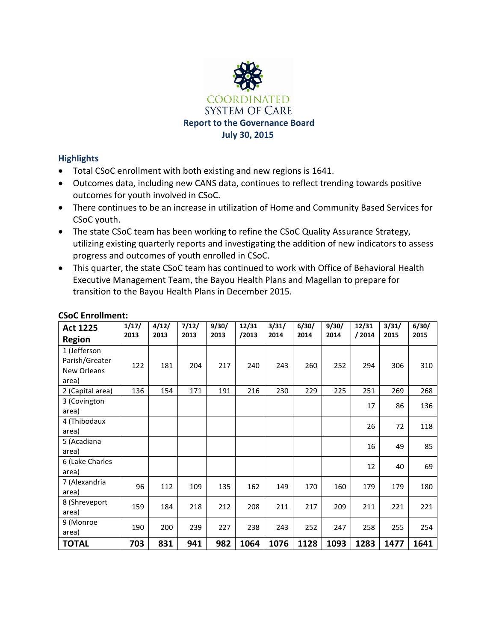

## **Highlights**

- Total CSoC enrollment with both existing and new regions is 1641.
- Outcomes data, including new CANS data, continues to reflect trending towards positive outcomes for youth involved in CSoC.
- There continues to be an increase in utilization of Home and Community Based Services for CSoC youth.
- The state CSoC team has been working to refine the CSoC Quality Assurance Strategy, utilizing existing quarterly reports and investigating the addition of new indicators to assess progress and outcomes of youth enrolled in CSoC.
- This quarter, the state CSoC team has continued to work with Office of Behavioral Health Executive Management Team, the Bayou Health Plans and Magellan to prepare for transition to the Bayou Health Plans in December 2015.

| <b>Act 1225</b><br><b>Region</b>                       | 1/17/<br>2013 | 4/12/<br>2013 | 7/12/<br>2013 | 9/30/<br>2013 | 12/31<br>/2013 | 3/31/<br>2014 | 6/30/<br>2014 | 9/30/<br>2014 | 12/31<br>/2014 | 3/31/<br>2015 | 6/30/<br>2015 |
|--------------------------------------------------------|---------------|---------------|---------------|---------------|----------------|---------------|---------------|---------------|----------------|---------------|---------------|
| 1 (Jefferson<br>Parish/Greater<br>New Orleans<br>area) | 122           | 181           | 204           | 217           | 240            | 243           | 260           | 252           | 294            | 306           | 310           |
| 2 (Capital area)                                       | 136           | 154           | 171           | 191           | 216            | 230           | 229           | 225           | 251            | 269           | 268           |
| 3 (Covington<br>area)                                  |               |               |               |               |                |               |               |               | 17             | 86            | 136           |
| 4 (Thibodaux<br>area)                                  |               |               |               |               |                |               |               |               | 26             | 72            | 118           |
| 5 (Acadiana<br>area)                                   |               |               |               |               |                |               |               |               | 16             | 49            | 85            |
| 6 (Lake Charles<br>area)                               |               |               |               |               |                |               |               |               | 12             | 40            | 69            |
| 7 (Alexandria<br>area)                                 | 96            | 112           | 109           | 135           | 162            | 149           | 170           | 160           | 179            | 179           | 180           |
| 8 (Shreveport<br>area)                                 | 159           | 184           | 218           | 212           | 208            | 211           | 217           | 209           | 211            | 221           | 221           |
| 9 (Monroe<br>area)                                     | 190           | 200           | 239           | 227           | 238            | 243           | 252           | 247           | 258            | 255           | 254           |
| <b>TOTAL</b>                                           | 703           | 831           | 941           | 982           | 1064           | 1076          | 1128          | 1093          | 1283           | 1477          | 1641          |

## **CSoC Enrollment:**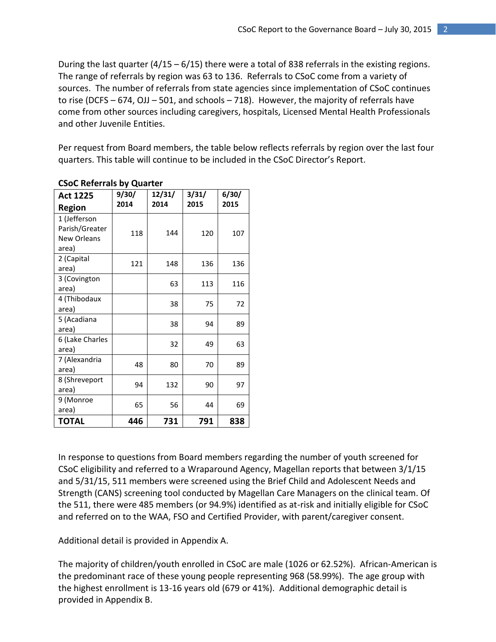During the last quarter ( $4/15 - 6/15$ ) there were a total of 838 referrals in the existing regions. The range of referrals by region was 63 to 136. Referrals to CSoC come from a variety of sources. The number of referrals from state agencies since implementation of CSoC continues to rise (DCFS – 674, OJJ – 501, and schools – 718). However, the majority of referrals have come from other sources including caregivers, hospitals, Licensed Mental Health Professionals and other Juvenile Entities.

Per request from Board members, the table below reflects referrals by region over the last four quarters. This table will continue to be included in the CSoC Director's Report.

| <b>Act 1225</b>                                               | 9/30/ | 12/31/ | 3/31/ | 6/30/<br>2015 |  |
|---------------------------------------------------------------|-------|--------|-------|---------------|--|
| <b>Region</b>                                                 | 2014  | 2014   | 2015  |               |  |
| 1 (Jefferson<br>Parish/Greater<br><b>New Orleans</b><br>area) | 118   | 144    | 120   | 107           |  |
| 2 (Capital<br>area)                                           | 121   | 148    | 136   | 136           |  |
| 3 (Covington<br>area)                                         |       | 63     | 113   | 116           |  |
| 4 (Thibodaux<br>area)                                         |       | 38     | 75    | 72            |  |
| 5 (Acadiana<br>area)                                          |       | 38     | 94    | 89            |  |
| 6 (Lake Charles<br>area)                                      |       | 32     | 49    | 63            |  |
| 7 (Alexandria<br>area)                                        | 48    | 80     | 70    | 89            |  |
| 8 (Shreveport<br>area)                                        | 94    | 132    | 90    | 97            |  |
| 9 (Monroe<br>area)                                            | 65    | 56     | 44    | 69            |  |
| <b>TOTAL</b>                                                  | 446   | 731    | 791   | 838           |  |

#### **CSoC Referrals by Quarter**

In response to questions from Board members regarding the number of youth screened for CSoC eligibility and referred to a Wraparound Agency, Magellan reports that between 3/1/15 and 5/31/15, 511 members were screened using the Brief Child and Adolescent Needs and Strength (CANS) screening tool conducted by Magellan Care Managers on the clinical team. Of the 511, there were 485 members (or 94.9%) identified as at-risk and initially eligible for CSoC and referred on to the WAA, FSO and Certified Provider, with parent/caregiver consent.

Additional detail is provided in Appendix A.

The majority of children/youth enrolled in CSoC are male (1026 or 62.52%). African-American is the predominant race of these young people representing 968 (58.99%). The age group with the highest enrollment is 13-16 years old (679 or 41%). Additional demographic detail is provided in Appendix B.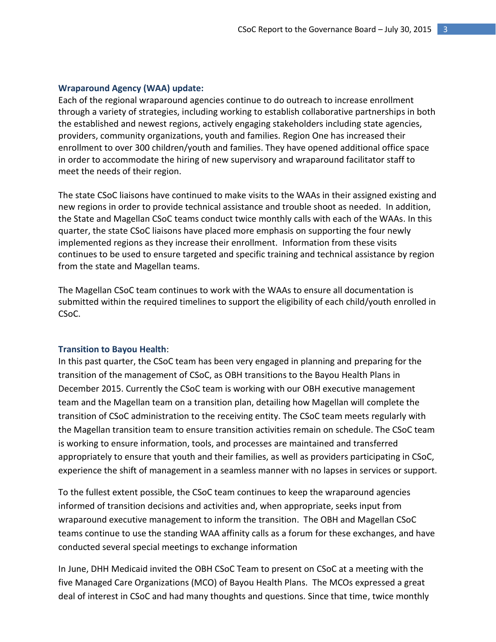#### **Wraparound Agency (WAA) update:**

Each of the regional wraparound agencies continue to do outreach to increase enrollment through a variety of strategies, including working to establish collaborative partnerships in both the established and newest regions, actively engaging stakeholders including state agencies, providers, community organizations, youth and families. Region One has increased their enrollment to over 300 children/youth and families. They have opened additional office space in order to accommodate the hiring of new supervisory and wraparound facilitator staff to meet the needs of their region.

The state CSoC liaisons have continued to make visits to the WAAs in their assigned existing and new regions in order to provide technical assistance and trouble shoot as needed. In addition, the State and Magellan CSoC teams conduct twice monthly calls with each of the WAAs. In this quarter, the state CSoC liaisons have placed more emphasis on supporting the four newly implemented regions as they increase their enrollment. Information from these visits continues to be used to ensure targeted and specific training and technical assistance by region from the state and Magellan teams.

The Magellan CSoC team continues to work with the WAAs to ensure all documentation is submitted within the required timelines to support the eligibility of each child/youth enrolled in CSoC.

#### **Transition to Bayou Health**:

In this past quarter, the CSoC team has been very engaged in planning and preparing for the transition of the management of CSoC, as OBH transitions to the Bayou Health Plans in December 2015. Currently the CSoC team is working with our OBH executive management team and the Magellan team on a transition plan, detailing how Magellan will complete the transition of CSoC administration to the receiving entity. The CSoC team meets regularly with the Magellan transition team to ensure transition activities remain on schedule. The CSoC team is working to ensure information, tools, and processes are maintained and transferred appropriately to ensure that youth and their families, as well as providers participating in CSoC, experience the shift of management in a seamless manner with no lapses in services or support.

To the fullest extent possible, the CSoC team continues to keep the wraparound agencies informed of transition decisions and activities and, when appropriate, seeks input from wraparound executive management to inform the transition. The OBH and Magellan CSoC teams continue to use the standing WAA affinity calls as a forum for these exchanges, and have conducted several special meetings to exchange information

In June, DHH Medicaid invited the OBH CSoC Team to present on CSoC at a meeting with the five Managed Care Organizations (MCO) of Bayou Health Plans. The MCOs expressed a great deal of interest in CSoC and had many thoughts and questions. Since that time, twice monthly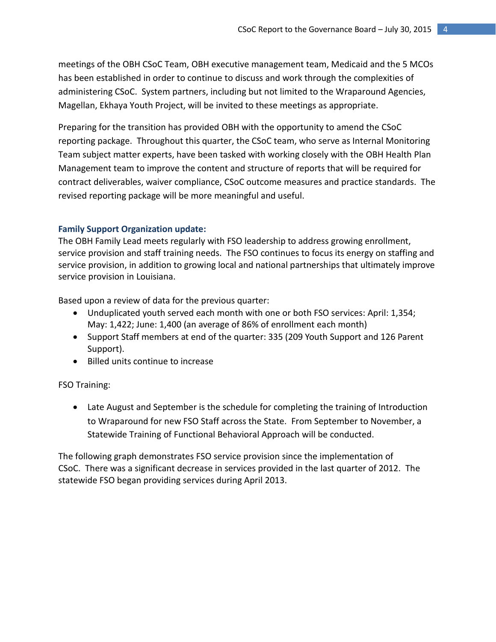meetings of the OBH CSoC Team, OBH executive management team, Medicaid and the 5 MCOs has been established in order to continue to discuss and work through the complexities of administering CSoC. System partners, including but not limited to the Wraparound Agencies, Magellan, Ekhaya Youth Project, will be invited to these meetings as appropriate.

Preparing for the transition has provided OBH with the opportunity to amend the CSoC reporting package. Throughout this quarter, the CSoC team, who serve as Internal Monitoring Team subject matter experts, have been tasked with working closely with the OBH Health Plan Management team to improve the content and structure of reports that will be required for contract deliverables, waiver compliance, CSoC outcome measures and practice standards. The revised reporting package will be more meaningful and useful.

#### **Family Support Organization update:**

The OBH Family Lead meets regularly with FSO leadership to address growing enrollment, service provision and staff training needs. The FSO continues to focus its energy on staffing and service provision, in addition to growing local and national partnerships that ultimately improve service provision in Louisiana.

Based upon a review of data for the previous quarter:

- Unduplicated youth served each month with one or both FSO services: April: 1,354; May: 1,422; June: 1,400 (an average of 86% of enrollment each month)
- Support Staff members at end of the quarter: 335 (209 Youth Support and 126 Parent Support).
- Billed units continue to increase

#### FSO Training:

 Late August and September is the schedule for completing the training of Introduction to Wraparound for new FSO Staff across the State. From September to November, a Statewide Training of Functional Behavioral Approach will be conducted.

The following graph demonstrates FSO service provision since the implementation of CSoC. There was a significant decrease in services provided in the last quarter of 2012. The statewide FSO began providing services during April 2013.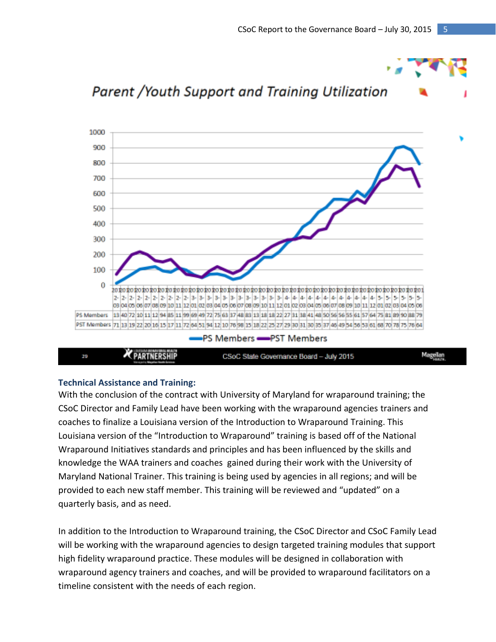

#### **Technical Assistance and Training:**

With the conclusion of the contract with University of Maryland for wraparound training; the CSoC Director and Family Lead have been working with the wraparound agencies trainers and coaches to finalize a Louisiana version of the Introduction to Wraparound Training. This Louisiana version of the "Introduction to Wraparound" training is based off of the National Wraparound Initiatives standards and principles and has been influenced by the skills and knowledge the WAA trainers and coaches gained during their work with the University of Maryland National Trainer. This training is being used by agencies in all regions; and will be provided to each new staff member. This training will be reviewed and "updated" on a quarterly basis, and as need.

In addition to the Introduction to Wraparound training, the CSoC Director and CSoC Family Lead will be working with the wraparound agencies to design targeted training modules that support high fidelity wraparound practice. These modules will be designed in collaboration with wraparound agency trainers and coaches, and will be provided to wraparound facilitators on a timeline consistent with the needs of each region.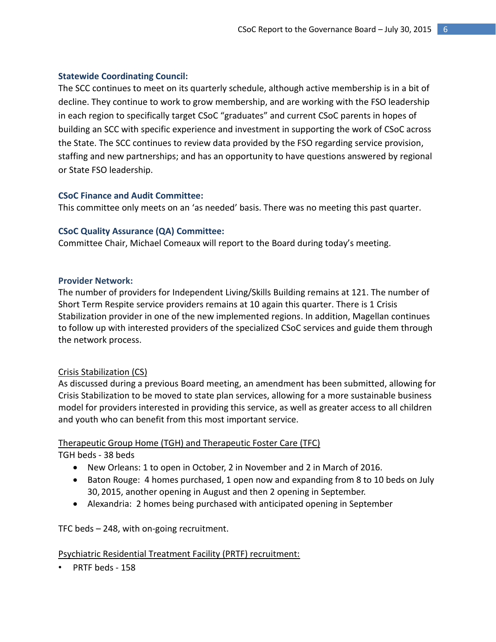### **Statewide Coordinating Council:**

The SCC continues to meet on its quarterly schedule, although active membership is in a bit of decline. They continue to work to grow membership, and are working with the FSO leadership in each region to specifically target CSoC "graduates" and current CSoC parents in hopes of building an SCC with specific experience and investment in supporting the work of CSoC across the State. The SCC continues to review data provided by the FSO regarding service provision, staffing and new partnerships; and has an opportunity to have questions answered by regional or State FSO leadership.

### **CSoC Finance and Audit Committee:**

This committee only meets on an 'as needed' basis. There was no meeting this past quarter.

### **CSoC Quality Assurance (QA) Committee:**

Committee Chair, Michael Comeaux will report to the Board during today's meeting.

#### **Provider Network:**

The number of providers for Independent Living/Skills Building remains at 121. The number of Short Term Respite service providers remains at 10 again this quarter. There is 1 Crisis Stabilization provider in one of the new implemented regions. In addition, Magellan continues to follow up with interested providers of the specialized CSoC services and guide them through the network process.

## Crisis Stabilization (CS)

As discussed during a previous Board meeting, an amendment has been submitted, allowing for Crisis Stabilization to be moved to state plan services, allowing for a more sustainable business model for providers interested in providing this service, as well as greater access to all children and youth who can benefit from this most important service.

## Therapeutic Group Home (TGH) and Therapeutic Foster Care (TFC)

TGH beds - 38 beds

- New Orleans: 1 to open in October, 2 in November and 2 in March of 2016.
- Baton Rouge: 4 homes purchased, 1 open now and expanding from 8 to 10 beds on July 30, 2015, another opening in August and then 2 opening in September.
- Alexandria: 2 homes being purchased with anticipated opening in September

TFC beds – 248, with on-going recruitment.

#### Psychiatric Residential Treatment Facility (PRTF) recruitment:

• PRTF beds - 158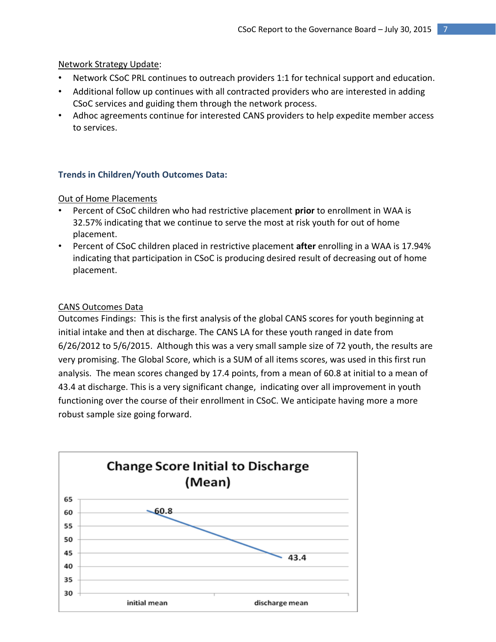## Network Strategy Update:

- Network CSoC PRL continues to outreach providers 1:1 for technical support and education.
- Additional follow up continues with all contracted providers who are interested in adding CSoC services and guiding them through the network process.
- Adhoc agreements continue for interested CANS providers to help expedite member access to services.

## **Trends in Children/Youth Outcomes Data:**

## Out of Home Placements

- Percent of CSoC children who had restrictive placement **prior** to enrollment in WAA is 32.57% indicating that we continue to serve the most at risk youth for out of home placement.
- Percent of CSoC children placed in restrictive placement **after** enrolling in a WAA is 17.94% indicating that participation in CSoC is producing desired result of decreasing out of home placement.

## CANS Outcomes Data

Outcomes Findings: This is the first analysis of the global CANS scores for youth beginning at initial intake and then at discharge. The CANS LA for these youth ranged in date from 6/26/2012 to 5/6/2015. Although this was a very small sample size of 72 youth, the results are very promising. The Global Score, which is a SUM of all items scores, was used in this first run analysis. The mean scores changed by 17.4 points, from a mean of 60.8 at initial to a mean of 43.4 at discharge. This is a very significant change, indicating over all improvement in youth functioning over the course of their enrollment in CSoC. We anticipate having more a more robust sample size going forward.

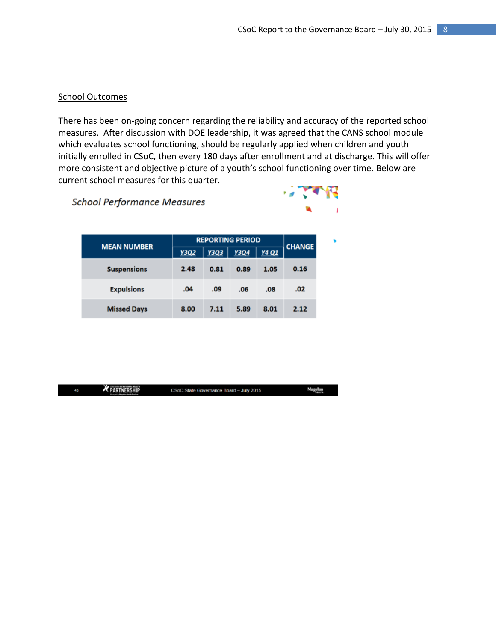### School Outcomes

There has been on-going concern regarding the reliability and accuracy of the reported school measures. After discussion with DOE leadership, it was agreed that the CANS school module which evaluates school functioning, should be regularly applied when children and youth initially enrolled in CSoC, then every 180 days after enrollment and at discharge. This will offer more consistent and objective picture of a youth's school functioning over time. Below are current school measures for this quarter.

**School Performance Measures** 



ellan<br>Histo

| <b>MEAN NUMBER</b> | <b>REPORTING PERIOD</b> | <b>CHANGE</b> |      |       |      |
|--------------------|-------------------------|---------------|------|-------|------|
|                    | <b>Y3Q2</b>             | <b>Y3Q3</b>   | Y3Q4 | Y4 Q1 |      |
| <b>Suspensions</b> | 2.48                    | 0.81          | 0.89 | 1.05  | 0.16 |
| <b>Expulsions</b>  | .04                     | .09           | .06  | .08   | .02  |
| <b>Missed Days</b> | 8.00                    | 7.11          | 5.89 | 8.01  | 2.12 |

| ł, | <b>X</b> PARTNERSHIP<br><b>Manuscrip Magalian Kasta Annis a</b> | CSoC State Governance Board - July 2015 | Mag |
|----|-----------------------------------------------------------------|-----------------------------------------|-----|
|----|-----------------------------------------------------------------|-----------------------------------------|-----|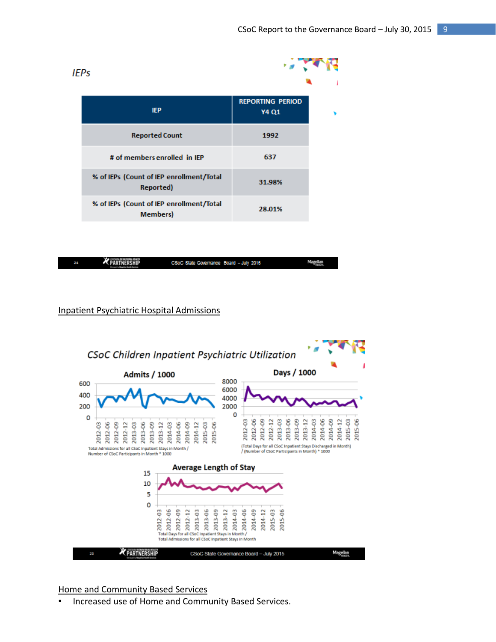| <b>IEPs</b>                                                  |                                  |  |
|--------------------------------------------------------------|----------------------------------|--|
| <b>IEP</b>                                                   | <b>REPORTING PERIOD</b><br>Y4 Q1 |  |
| <b>Reported Count</b>                                        | 1992                             |  |
| # of members enrolled in IEP                                 | 637                              |  |
| % of IEPs (Count of IEP enrollment/Total<br>Reported)        | 31.98%                           |  |
| % of IEPs (Count of IEP enrollment/Total<br><b>Members</b> ) | 28.01%                           |  |
|                                                              |                                  |  |

| 28 | <b>X</b> PARTNERSHIP<br><b>Moreover in Magellan Basillo Services</b> | CSoC State Governance Board - July 2015 | Magellan |
|----|----------------------------------------------------------------------|-----------------------------------------|----------|
|    |                                                                      |                                         |          |

#### Inpatient Psychiatric Hospital Admissions



#### Home and Community Based Services

• Increased use of Home and Community Based Services.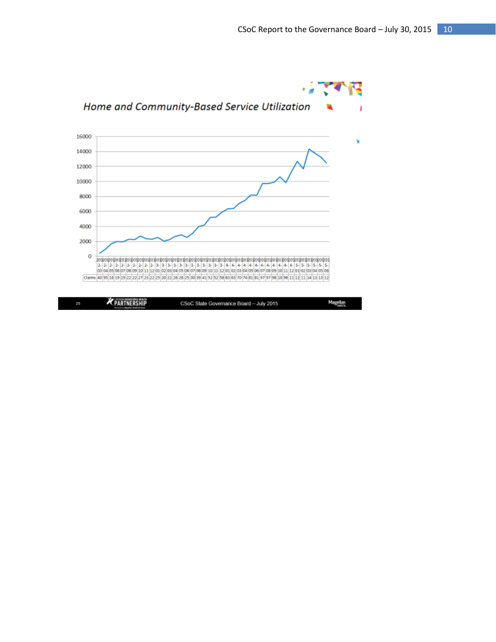

| 75. | <b>SALES</b><br>TAXABLE PERSONAL PROPERTY.<br><b>K PARTNERSHIP</b><br>receity Magdian Radio Arviver | CSoC State Governance Board - July 2015 | Magellan |
|-----|-----------------------------------------------------------------------------------------------------|-----------------------------------------|----------|
|-----|-----------------------------------------------------------------------------------------------------|-----------------------------------------|----------|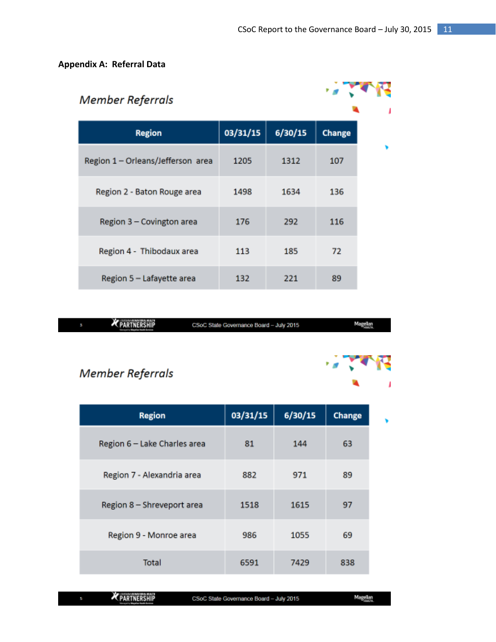## **Appendix A: Referral Data**

| <b>Member Referrals</b>           |          |         |               |  |
|-----------------------------------|----------|---------|---------------|--|
| <b>Region</b>                     | 03/31/15 | 6/30/15 | <b>Change</b> |  |
| Region 1 - Orleans/Jefferson area | 1205     | 1312    | 107           |  |
| Region 2 - Baton Rouge area       | 1498     | 1634    | 136           |  |
| Region 3 - Covington area         | 176      | 292     | 116           |  |
| Region 4 - Thibodaux area         | 113      | 185     | 72            |  |
| Region 5 - Lafayette area         | 132      | 221     | 89            |  |

| <b>X</b> PARTNERSHIP | CSoC State Governance Board - July 2015 | Magellan |
|----------------------|-----------------------------------------|----------|
|                      |                                         |          |

# Member Referrals

| <b>Region</b>                | 03/31/15 | 6/30/15 | <b>Change</b> |  |
|------------------------------|----------|---------|---------------|--|
| Region 6 - Lake Charles area | 81       | 144     | 63            |  |
| Region 7 - Alexandria area   | 882      | 971     | 89            |  |
| Region 8 - Shreveport area   | 1518     | 1615    | 97            |  |
| Region 9 - Monroe area       | 986      | 1055    | 69            |  |
| Total                        | 6591     | 7429    | 838           |  |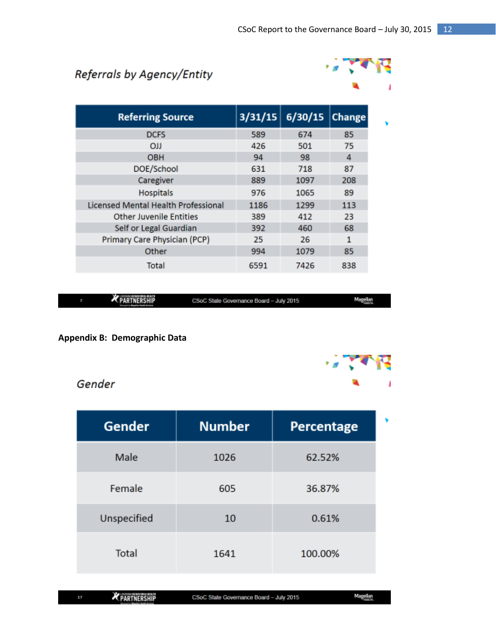# Referrals by Agency/Entity



| <b>Referring Source</b>             |      | $3/31/15$ 6/30/15 | <b>Change</b> |
|-------------------------------------|------|-------------------|---------------|
| <b>DCFS</b>                         | 589  | 674               | 85            |
| $_{\text{OJJ}}$                     | 426  | 501               | 75            |
| <b>OBH</b>                          | 94   | 98                | 4             |
| DOE/School                          | 631  | 718               | 87            |
| Caregiver                           | 889  | 1097              | 208           |
| <b>Hospitals</b>                    | 976  | 1065              | 89            |
| Licensed Mental Health Professional | 1186 | 1299              | 113           |
| Other Juvenile Entities             | 389  | 412               | 23            |
| Self or Legal Guardian              | 392  | 460               | 68            |
| Primary Care Physician (PCP)        | 25   | 26                | 1             |
| Other                               | 994  | 1079              | 85            |
| Total                               | 6591 | 7426              | 838           |

|  | <b><i>MARKANINA HALY</i></b><br><b>EXPARTNERSHIP</b> | CSoC State Governance Board - July 2015 | Magellan |
|--|------------------------------------------------------|-----------------------------------------|----------|
|--|------------------------------------------------------|-----------------------------------------|----------|

## **Appendix B: Demographic Data**

## Gender

| <b>Gender</b> | <b>Number</b> | Percentage |
|---------------|---------------|------------|
| Male          | 1026          | 62.52%     |
| Female        | 605           | 36.87%     |
| Unspecified   | 10            | 0.61%      |
| Total         | 1641          | 100.00%    |